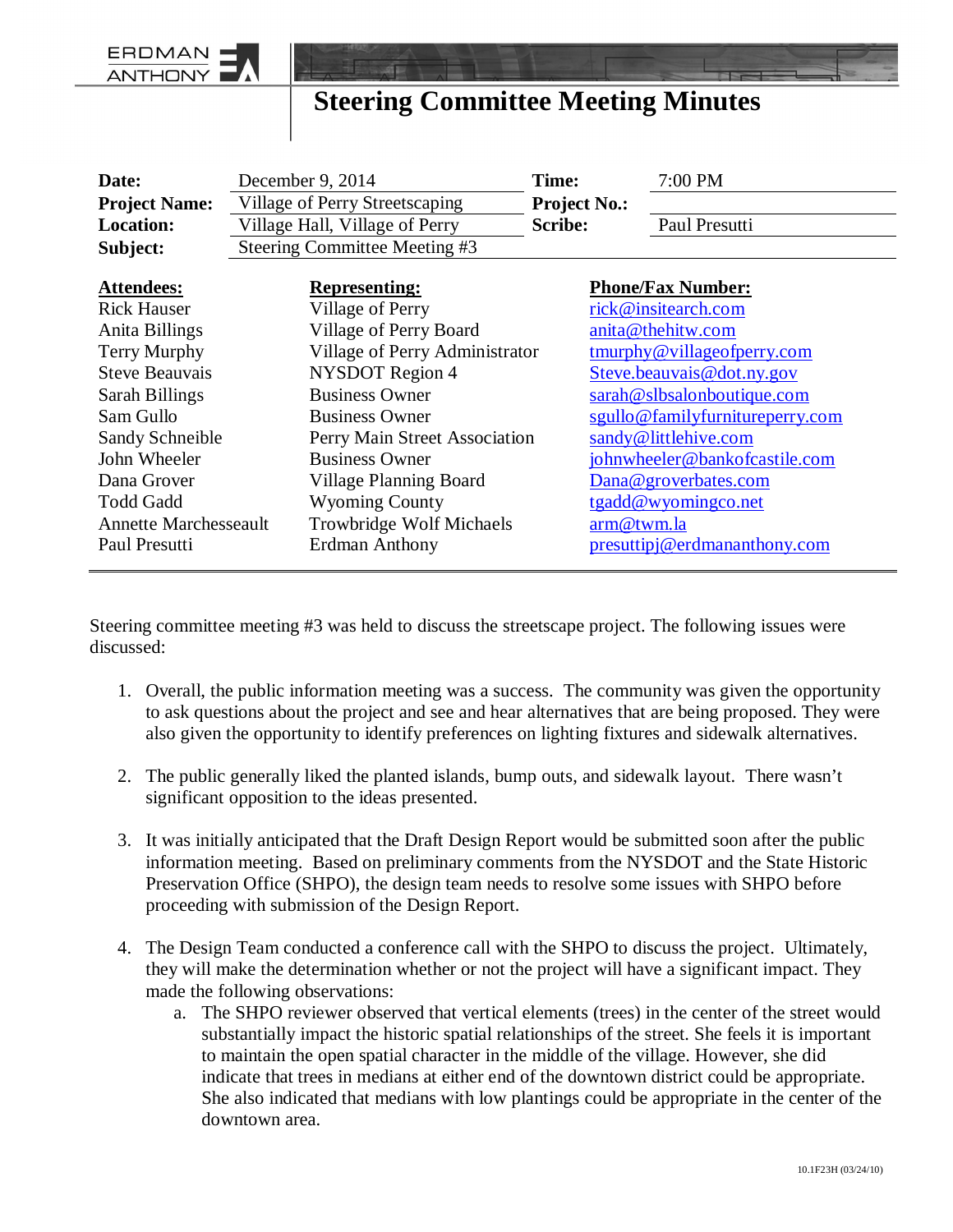## **Steering Committee Meeting Minutes**

| Date:                        | December 9, 2014               | Time:               | 7:00 PM                                      |
|------------------------------|--------------------------------|---------------------|----------------------------------------------|
| <b>Project Name:</b>         | Village of Perry Streetscaping | <b>Project No.:</b> |                                              |
| <b>Location:</b>             | Village Hall, Village of Perry | <b>Scribe:</b>      | Paul Presutti                                |
| Subject:                     | Steering Committee Meeting #3  |                     |                                              |
|                              |                                |                     |                                              |
| <b>Attendees:</b>            | <b>Representing:</b>           |                     | <b>Phone/Fax Number:</b>                     |
| <b>Rick Hauser</b>           | Village of Perry               |                     | rick@insitearch.com                          |
| Anita Billings               | Village of Perry Board         |                     | anita@thehitw.com                            |
| Terry Murphy                 | Village of Perry Administrator |                     | $\frac{\text{tmurphy@villageofperry.com}}{}$ |
| <b>Steve Beauvais</b>        | <b>NYSDOT</b> Region 4         |                     | Steve.beauvais@dot.ny.gov                    |
| Sarah Billings               | <b>Business Owner</b>          |                     | sarah@slbsalonboutique.com                   |
| Sam Gullo                    | <b>Business Owner</b>          |                     | sgullo@familyfurnitureperry.com              |
| Sandy Schneible              | Perry Main Street Association  |                     | sandy@littlehive.com                         |
| John Wheeler                 | <b>Business Owner</b>          |                     | johnwheeler@bankofcastile.com                |
| Dana Grover                  | <b>Village Planning Board</b>  |                     | Dana@groverbates.com                         |
| <b>Todd Gadd</b>             | <b>Wyoming County</b>          |                     | tgadd@wyomingco.net                          |
| <b>Annette Marchesseault</b> | Trowbridge Wolf Michaels       | arm@twm.la          |                                              |
| Paul Presutti                | <b>Erdman Anthony</b>          |                     | presuttipj@erdmananthony.com                 |

Steering committee meeting #3 was held to discuss the streetscape project. The following issues were discussed:

- 1. Overall, the public information meeting was a success. The community was given the opportunity to ask questions about the project and see and hear alternatives that are being proposed. They were also given the opportunity to identify preferences on lighting fixtures and sidewalk alternatives.
- 2. The public generally liked the planted islands, bump outs, and sidewalk layout. There wasn't significant opposition to the ideas presented.
- 3. It was initially anticipated that the Draft Design Report would be submitted soon after the public information meeting. Based on preliminary comments from the NYSDOT and the State Historic Preservation Office (SHPO), the design team needs to resolve some issues with SHPO before proceeding with submission of the Design Report.
- 4. The Design Team conducted a conference call with the SHPO to discuss the project. Ultimately, they will make the determination whether or not the project will have a significant impact. They made the following observations:
	- a. The SHPO reviewer observed that vertical elements (trees) in the center of the street would substantially impact the historic spatial relationships of the street. She feels it is important to maintain the open spatial character in the middle of the village. However, she did indicate that trees in medians at either end of the downtown district could be appropriate. She also indicated that medians with low plantings could be appropriate in the center of the downtown area.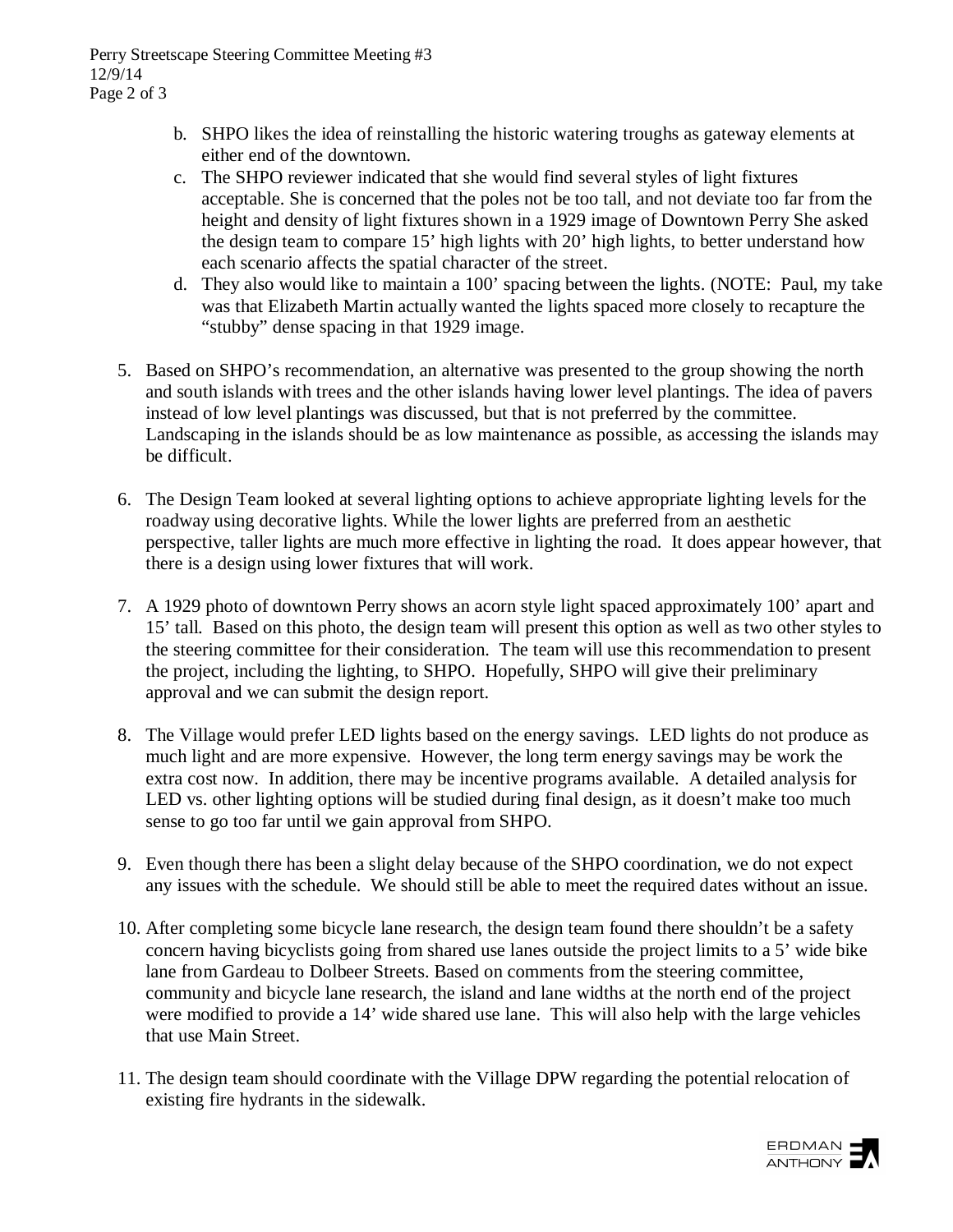Perry Streetscape Steering Committee Meeting #3 12/9/14 Page 2 of 3

- b. SHPO likes the idea of reinstalling the historic watering troughs as gateway elements at either end of the downtown.
- c. The SHPO reviewer indicated that she would find several styles of light fixtures acceptable. She is concerned that the poles not be too tall, and not deviate too far from the height and density of light fixtures shown in a 1929 image of Downtown Perry She asked the design team to compare 15' high lights with 20' high lights, to better understand how each scenario affects the spatial character of the street.
- d. They also would like to maintain a 100' spacing between the lights. (NOTE: Paul, my take was that Elizabeth Martin actually wanted the lights spaced more closely to recapture the "stubby" dense spacing in that 1929 image.
- 5. Based on SHPO's recommendation, an alternative was presented to the group showing the north and south islands with trees and the other islands having lower level plantings. The idea of pavers instead of low level plantings was discussed, but that is not preferred by the committee. Landscaping in the islands should be as low maintenance as possible, as accessing the islands may be difficult.
- 6. The Design Team looked at several lighting options to achieve appropriate lighting levels for the roadway using decorative lights. While the lower lights are preferred from an aesthetic perspective, taller lights are much more effective in lighting the road. It does appear however, that there is a design using lower fixtures that will work.
- 7. A 1929 photo of downtown Perry shows an acorn style light spaced approximately 100' apart and 15' tall. Based on this photo, the design team will present this option as well as two other styles to the steering committee for their consideration. The team will use this recommendation to present the project, including the lighting, to SHPO. Hopefully, SHPO will give their preliminary approval and we can submit the design report.
- 8. The Village would prefer LED lights based on the energy savings. LED lights do not produce as much light and are more expensive. However, the long term energy savings may be work the extra cost now. In addition, there may be incentive programs available. A detailed analysis for LED vs. other lighting options will be studied during final design, as it doesn't make too much sense to go too far until we gain approval from SHPO.
- 9. Even though there has been a slight delay because of the SHPO coordination, we do not expect any issues with the schedule. We should still be able to meet the required dates without an issue.
- 10. After completing some bicycle lane research, the design team found there shouldn't be a safety concern having bicyclists going from shared use lanes outside the project limits to a 5' wide bike lane from Gardeau to Dolbeer Streets. Based on comments from the steering committee, community and bicycle lane research, the island and lane widths at the north end of the project were modified to provide a 14' wide shared use lane. This will also help with the large vehicles that use Main Street.
- 11. The design team should coordinate with the Village DPW regarding the potential relocation of existing fire hydrants in the sidewalk.